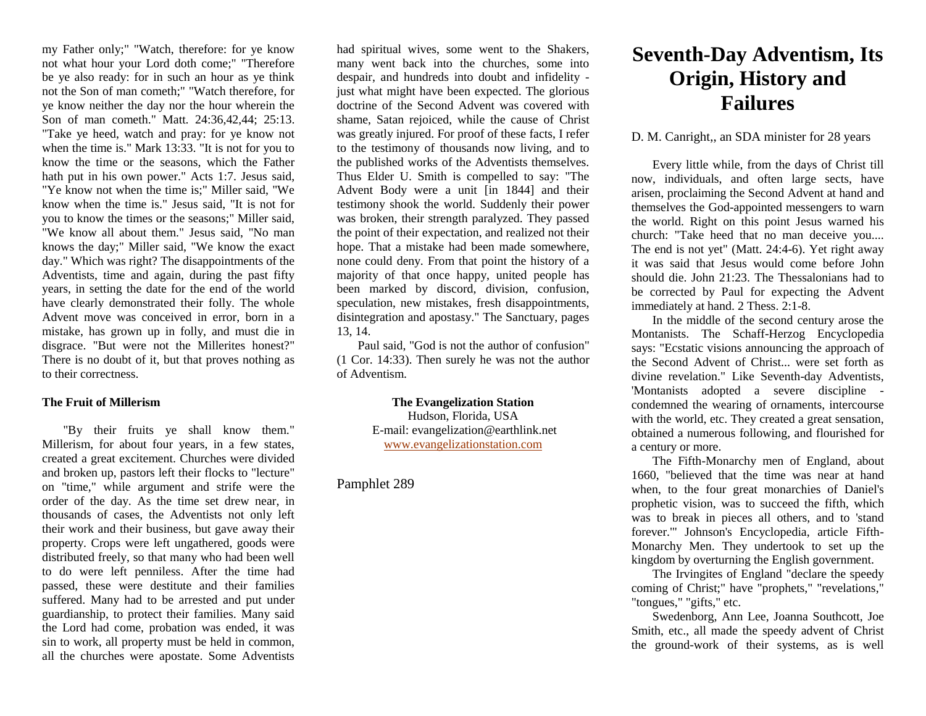my Father only;" "Watch, therefore: for ye know not what hour your Lord doth come;" "Therefore be ye also ready: for in such an hour as ye think not the Son of man cometh;" "Watch therefore, for ye know neither the day nor the hour wherein the Son of man cometh." Matt. 24:36,42,44; 25:13. "Take ye heed, watch and pray: for ye know not when the time is." Mark 13:33. "It is not for you to know the time or the seasons, which the Father hath put in his own power." Acts 1:7. Jesus said, "Ye know not when the time is;" Miller said, "We know when the time is." Jesus said, "It is not for you to know the times or the seasons;" Miller said, "We know all about them." Jesus said, "No man knows the day;" Miller said, "We know the exact day." Which was right? The disappointments of the Adventists, time and again, during the past fifty years, in setting the date for the end of the world have clearly demonstrated their folly. The whole Advent move was conceived in error, born in a mistake, has grown up in folly, and must die in disgrace. "But were not the Millerites honest?" There is no doubt of it, but that proves nothing as to their correctness.

## **The Fruit of Millerism**

"By their fruits ye shall know them." Millerism, for about four years, in a few states, created a great excitement. Churches were divided and broken up, pastors left their flocks to "lecture" on "time," while argument and strife were the order of the day. As the time set drew near, in thousands of cases, the Adventists not only left their work and their business, but gave away their property. Crops were left ungathered, goods were distributed freely, so that many who had been well to do were left penniless. After the time had passed, these were destitute and their families suffered. Many had to be arrested and put under guardianship, to protect their families. Many said the Lord had come, probation was ended, it was sin to work, all property must be held in common, all the churches were apostate. Some Adventists

had spiritual wives, some went to the Shakers, many went back into the churches, some into despair, and hundreds into doubt and infidelity just what might have been expected. The glorious doctrine of the Second Advent was covered with shame, Satan rejoiced, while the cause of Christ was greatly injured. For proof of these facts, I refer to the testimony of thousands now living, and to the published works of the Adventists themselves. Thus Elder U. Smith is compelled to say: "The Advent Body were a unit [in 1844] and their testimony shook the world. Suddenly their power was broken, their strength paralyzed. They passed the point of their expectation, and realized not their hope. That a mistake had been made somewhere, none could deny. From that point the history of a majority of that once happy, united people has been marked by discord, division, confusion, speculation, new mistakes, fresh disappointments, disintegration and apostasy." The Sanctuary, pages 13, 14.

Paul said, "God is not the author of confusion" (1 Cor. 14:33). Then surely he was not the author of Adventism.

> **The Evangelization Station** Hudson, Florida, USA E-mail: evangelization@earthlink.net [www.evangelizationstation.com](http://www.pjpiisoe.org/)

## Pamphlet 289

## **Seventh-Day Adventism, Its Origin, History and Failures**

## D. M. Canright,, an SDA minister for 28 years

Every little while, from the days of Christ till now, individuals, and often large sects, have arisen, proclaiming the Second Advent at hand and themselves the God-appointed messengers to warn the world. Right on this point Jesus warned his church: "Take heed that no man deceive you.... The end is not yet" (Matt. 24:4-6). Yet right away it was said that Jesus would come before John should die. John 21:23. The Thessalonians had to be corrected by Paul for expecting the Advent immediately at hand. 2 Thess. 2:1-8.

In the middle of the second century arose the Montanists. The Schaff-Herzog Encyclopedia says: "Ecstatic visions announcing the approach of the Second Advent of Christ... were set forth as divine revelation." Like Seventh-day Adventists, 'Montanists adopted a severe discipline condemned the wearing of ornaments, intercourse with the world, etc. They created a great sensation, obtained a numerous following, and flourished for a century or more.

The Fifth-Monarchy men of England, about 1660, "believed that the time was near at hand when, to the four great monarchies of Daniel's prophetic vision, was to succeed the fifth, which was to break in pieces all others, and to 'stand forever.'" Johnson's Encyclopedia, article Fifth-Monarchy Men. They undertook to set up the kingdom by overturning the English government.

The Irvingites of England "declare the speedy coming of Christ;" have "prophets," "revelations," "tongues," "gifts," etc.

Swedenborg, Ann Lee, Joanna Southcott, Joe Smith, etc., all made the speedy advent of Christ the ground-work of their systems, as is well